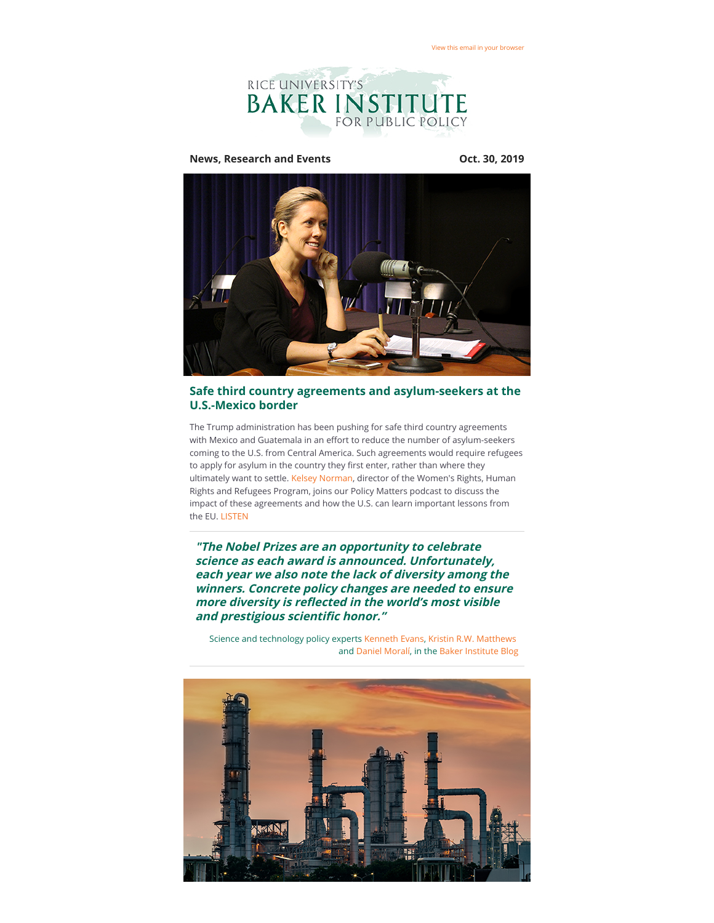

**News, Research and Events Oct. 30, 2019**



## **Safe third country agreements and asylum-seekers at the U.S.-Mexico border**

The Trump administration has been pushing for safe third country agreements with Mexico and Guatemala in an effort to reduce the number of asylum-seekers coming to the U.S. from Central America. Such agreements would require refugees to apply for asylum in the country they first enter, rather than where they ultimately want to settle. [Kelsey Norman,](https://riceconnect.rice.edu/page.redir?target=https%3a%2f%2fwww.bakerinstitute.org%2fexperts%2fkelsey-norman%2f&srcid=94829&srctid=1&erid=7a487c1d-e8dd-445a-a85d-bc04a45d7505&trid=7a487c1d-e8dd-445a-a85d-bc04a45d7505) director of the Women's Rights, Human Rights and Refugees Program, joins our Policy Matters podcast to discuss the impact of these agreements and how the U.S. can learn important lessons from the EU. [LISTEN](https://riceconnect.rice.edu/page.redir?target=https%3a%2f%2fwww.stitcher.com%2fs%3feid%3d64790207&srcid=94829&srctid=1&erid=7a487c1d-e8dd-445a-a85d-bc04a45d7505&trid=7a487c1d-e8dd-445a-a85d-bc04a45d7505)

**"The Nobel Prizes are an opportunity to celebrate science as each award is announced. Unfortunately, each year we also note the lack of diversity among the winners. Concrete policy changes are needed to ensure** more diversity is reflected in the world's most visible and prestigious scientific honor."

Science and technology policy experts [Kenneth Evans,](https://riceconnect.rice.edu/page.redir?target=https%3a%2f%2fwww.bakerinstitute.org%2fexperts%2fkenneth-m-evans%2f&srcid=94829&srctid=1&erid=7a487c1d-e8dd-445a-a85d-bc04a45d7505&trid=7a487c1d-e8dd-445a-a85d-bc04a45d7505) [Kristin R.W. Matthews](https://riceconnect.rice.edu/page.redir?target=https%3a%2f%2fwww.bakerinstitute.org%2fexperts%2fkirstin-rw-matthews%2f&srcid=94829&srctid=1&erid=7a487c1d-e8dd-445a-a85d-bc04a45d7505&trid=7a487c1d-e8dd-445a-a85d-bc04a45d7505) and [Daniel Moralí,](https://riceconnect.rice.edu/page.redir?target=https%3a%2f%2fwww.bakerinstitute.org%2fexperts%2fdaniel-morali%2f&srcid=94829&srctid=1&erid=7a487c1d-e8dd-445a-a85d-bc04a45d7505&trid=7a487c1d-e8dd-445a-a85d-bc04a45d7505) in the [Baker Institute Blog](https://riceconnect.rice.edu/page.redir?target=http%3a%2f%2fblog.bakerinstitute.org%2f2019%2f10%2f14%2fanother-all-male-lineup-for-the-science-nobels-is-it-time-to-stop-caring%2f&srcid=94829&srctid=1&erid=7a487c1d-e8dd-445a-a85d-bc04a45d7505&trid=7a487c1d-e8dd-445a-a85d-bc04a45d7505)